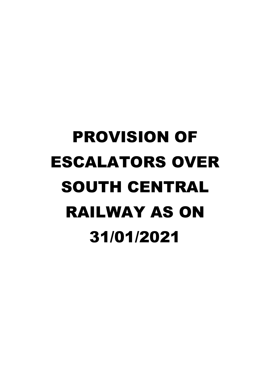## PROVISION OF ESCALATORS OVER SOUTH CENTRAL RAILWAY AS ON 31/01/2021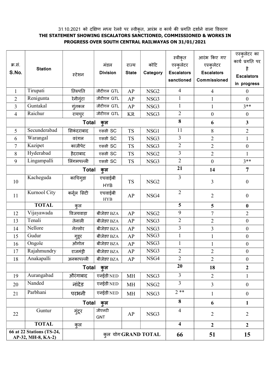## 31.10.2021 को दक्षिण मध्य रेलवे पर स्वीकृत, आरंभ व कार्य की प्रगति दर्शाने वाला विवरण THE STATEMENT SHOWING ESCALATORS SANCTIONED, COMMISSIONED & WORKS IN PROGRESS OVER SOUTH CENTRAL RAILWAYAS ON 31/01/2021

| क्र.सं.<br>S.No.                                | <b>Station</b>      | स्टेशन              | मंडल<br><b>Division</b> | राज्य<br><b>State</b> | कोटि<br>Category | स्वीकृत<br>एस्कुलेटर<br><b>Escalators</b><br>sanctioned | आरंभ किए गए<br>एस्कुलेटर<br><b>Escalators</b><br>Commissioned | एस्कुलेटर का<br>कार्य प्रगति पर<br>है<br><b>Escalators</b><br>in progress |
|-------------------------------------------------|---------------------|---------------------|-------------------------|-----------------------|------------------|---------------------------------------------------------|---------------------------------------------------------------|---------------------------------------------------------------------------|
| $\mathbf{1}$                                    | Tirupati            | तिरुपति             | जीटीएल GTL              | AP                    | NSG <sub>2</sub> | $\overline{4}$                                          | $\overline{4}$                                                | $\mathbf{0}$                                                              |
| 2                                               | Renigunta           | रेनीगुंटा           | जीटीएल GTL              | AP                    | NSG3             | $\mathbf{1}$                                            | $\mathbf{1}$                                                  | $\boldsymbol{0}$                                                          |
| 3                                               | Guntakal            | गूंतकल              | जीटीएल GTL              | AP                    | NSG3             | $\mathbf{1}$                                            | $\mathbf{1}$                                                  | $3**$                                                                     |
| 4                                               | Raichur             | रायचुर              | जीटीएल GTL              | <b>KR</b>             | NSG3             | $\overline{2}$                                          | $\boldsymbol{0}$                                              | $\boldsymbol{0}$                                                          |
|                                                 |                     | <b>Total</b>        | कुल                     |                       |                  | 8                                                       | 6                                                             | $\overline{\mathbf{3}}$                                                   |
| 5 <sup>5</sup>                                  | Secunderabad        | सिकंदराबाद          | एससी SC                 | <b>TS</b>             | NSG1             | 11                                                      | $8\,$                                                         | $\overline{2}$                                                            |
| 6                                               | Warangal            | वरंगल               | एससी SC                 | <b>TS</b>             | NSG3             | $\mathfrak{Z}$                                          | $\overline{2}$                                                | $\mathbf{1}$                                                              |
| 7                                               | Kazipet             | काजीपेट             | एससी SC                 | <b>TS</b>             | NSG3             | $\overline{2}$                                          | $\overline{2}$                                                | $\boldsymbol{0}$                                                          |
| 8                                               | Hyderabad           | हैदराबाद            | एससी SC                 | TS                    | NSG <sub>2</sub> | $\overline{3}$                                          | $\overline{2}$                                                | $\mathbf{1}$                                                              |
| 9                                               | Lingampalli         | लिंगमपल्ली          | एससी SC                 | <b>TS</b>             | NSG3             | $\overline{2}$                                          | $\boldsymbol{0}$                                              | $3**$                                                                     |
|                                                 |                     | <b>Total</b><br>कुल |                         |                       |                  | 21                                                      | 14                                                            | 7                                                                         |
| 10                                              | Kacheguda           | काचिगुड़ा           | एचवाईबी<br><b>HYB</b>   | <b>TS</b>             | NSG <sub>2</sub> | $\overline{3}$                                          | 3                                                             | $\boldsymbol{0}$                                                          |
| 11                                              | Kurnool City        | कर्नूल सिटी         | एचवाईबी<br><b>HYB</b>   | AP                    | NSG4             | $\overline{2}$                                          | $\overline{2}$                                                | $\boldsymbol{0}$                                                          |
|                                                 | <b>TOTAL</b>        | कल                  |                         |                       |                  | 5                                                       | 5                                                             | $\boldsymbol{0}$                                                          |
| 12                                              | Vijayawada          | विजयवाड़ा           | बीजेडए BZA              | AP                    | NSG <sub>2</sub> | 9                                                       | $\overline{7}$                                                | $\overline{2}$                                                            |
| 13                                              | Tenali              | तेनाली              | बीजेडए BZA              | AP                    | NSG3             | $\overline{2}$                                          | $\overline{2}$                                                | $\boldsymbol{0}$                                                          |
| 14                                              | Nellore             | नेल्लोर             | बीजेडए BZA              | AP                    | NSG3             | $\mathfrak{Z}$                                          | 3                                                             | $\boldsymbol{0}$                                                          |
| 15                                              | Gudur               | गुडूर               | बीजेडए BZA              | AP                    | NSG3             | $\mathbf{1}$                                            | $\mathbf{1}$                                                  | $\boldsymbol{0}$                                                          |
| 16                                              | Ongole              | ओंगोल               | बीजेडए BZA              | AP                    | NSG3             | $\mathbf{1}$                                            | $\mathbf{1}$                                                  | $\boldsymbol{0}$                                                          |
| 17                                              | Rajahmundry         | राजमंड्री           | बीजेडए BZA              | AP                    | NSG3             | $\overline{2}$                                          | $\mathbf{2}$                                                  | $\boldsymbol{0}$                                                          |
| 18                                              | Anakapalli          | अनकापल्ली           | बीजेडए BZA              | AP                    | NSG4             | $\overline{2}$                                          | $\overline{2}$                                                | $\boldsymbol{0}$                                                          |
|                                                 |                     | <b>Total</b>        | कुल                     | 20                    | 18               | $\boldsymbol{2}$                                        |                                                               |                                                                           |
| 19                                              | Aurangabad          | औरंगाबाद            | एनईडी NED               | <b>MH</b>             | NSG3             | 3                                                       | $\overline{2}$                                                | $\mathbf{1}$                                                              |
| 20                                              | Nanded              | नांदेड              | एनईडी NED               | MH                    | NSG <sub>2</sub> | 3                                                       | $\overline{3}$                                                | $\boldsymbol{0}$                                                          |
| 21                                              | Parbhani            | परभनी               | एनईडी NED               | MH                    | NSG3             | $2**$                                                   | $\mathbf{1}$                                                  | $\boldsymbol{0}$                                                          |
|                                                 | <b>Total</b><br>कुल |                     |                         |                       | 8                | 6                                                       | 1                                                             |                                                                           |
| 22                                              | Guntur              | गुंटूर              | जीएनटी<br><b>GNT</b>    | AP                    | NSG3             | 4                                                       | $\overline{2}$                                                | $\overline{2}$                                                            |
|                                                 | <b>TOTAL</b>        | कुल                 |                         |                       |                  | $\overline{\mathbf{4}}$                                 | $\boldsymbol{2}$                                              | $\mathbf{2}$                                                              |
| 66 at 22 Stations (TS-24,<br>AP-32, MH-8, KA-2) |                     |                     | कुल योग GRAND TOTAL     |                       |                  | 66                                                      | 51                                                            | 15                                                                        |